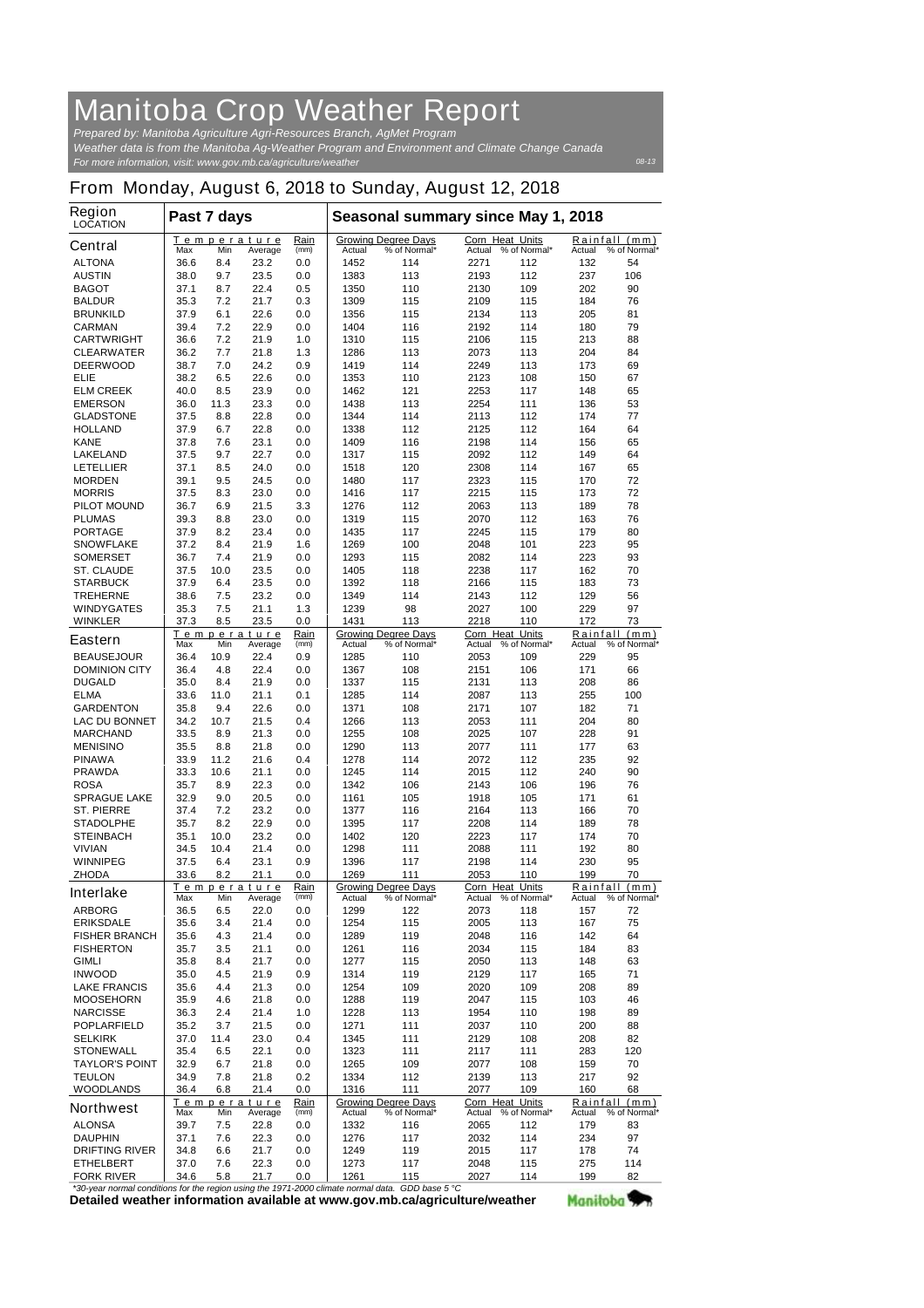## **Manitoba Crop Weather Report**

*For more information, visit: www.gov.mb.ca/agriculture/weather Prepared by: Manitoba Agriculture Agri-Resources Branch, AgMet Program Weather data is from the Manitoba Ag-Weather Program and Environment and Climate Change Canada*

## **From Monday, August 6, 2018 to Sunday, August 12, 2018**

| <b>Region</b><br><b>LOCATION</b>                               | Past 7 days  |             |                        |                                     | Seasonal summary since May 1, 2018 |                                            |                                        |              |            |                               |
|----------------------------------------------------------------|--------------|-------------|------------------------|-------------------------------------|------------------------------------|--------------------------------------------|----------------------------------------|--------------|------------|-------------------------------|
| <b>Central</b>                                                 | Max          | Min         | Temperature<br>Average | Rain<br>(mm)                        | <b>Actual</b>                      | <b>Growing Degree Days</b><br>% of Normal* | <b>Corn Heat Units</b><br>Actual       | % of Normal* | Actual     | Rainfall (mm)<br>% of Normal* |
| <b>ALTONA</b>                                                  | 36.6         | 8.4         | 23.2                   | 0.0                                 | 1452                               | 114                                        | 2271                                   | 112          | 132        | 54                            |
| <b>AUSTIN</b>                                                  | 38.0         | 9.7         | 23.5                   | 0.0                                 | 1383                               | 113                                        | 2193                                   | 112          | 237        | 106                           |
| <b>BAGOT</b>                                                   | 37.1         | 8.7         | 22.4                   | 0.5                                 | 1350                               | 110                                        | 2130                                   | 109          | 202        | 90                            |
| <b>BALDUR</b>                                                  | 35.3         | 7.2         | 21.7                   | 0.3                                 | 1309                               | 115                                        | 2109                                   | 115          | 184        | 76                            |
| <b>BRUNKILD</b><br><b>CARMAN</b>                               | 37.9<br>39.4 | 6.1<br>7.2  | 22.6<br>22.9           | 0.0<br>0.0                          | 1356<br>1404                       | 115<br>116                                 | 2134<br>2192                           | 113<br>114   | 205<br>180 | 81<br>79                      |
| <b>CARTWRIGHT</b>                                              | 36.6         | 7.2         | 21.9                   | 1.0                                 | 1310                               | 115                                        | 2106                                   | 115          | 213        | 88                            |
| <b>CLEARWATER</b>                                              | 36.2         | 7.7         | 21.8                   | 1.3                                 | 1286                               | 113                                        | 2073                                   | 113          | 204        | 84                            |
| <b>DEERWOOD</b>                                                | 38.7         | 7.0         | 24.2                   | 0.9                                 | 1419                               | 114                                        | 2249                                   | 113          | 173        | 69                            |
| ELIE                                                           | 38.2         | 6.5         | 22.6                   | 0.0                                 | 1353                               | 110                                        | 2123                                   | 108          | 150        | 67                            |
| <b>ELM CREEK</b>                                               | 40.0         | 8.5         | 23.9                   | 0.0                                 | 1462                               | 121                                        | 2253                                   | 117          | 148        | 65                            |
| <b>EMERSON</b>                                                 | 36.0         | 11.3        | 23.3                   | 0.0                                 | 1438                               | 113                                        | 2254                                   | 111          | 136        | 53                            |
| <b>GLADSTONE</b>                                               | 37.5         | 8.8         | 22.8                   | 0.0                                 | 1344                               | 114                                        | 2113                                   | 112          | 174        | 77                            |
| <b>HOLLAND</b><br><b>KANE</b>                                  | 37.9<br>37.8 | 6.7<br>7.6  | 22.8<br>23.1           | 0.0<br>0.0                          | 1338<br>1409                       | 112<br>116                                 | 2125<br>2198                           | 112<br>114   | 164<br>156 | 64<br>65                      |
| <b>LAKELAND</b>                                                | 37.5         | 9.7         | 22.7                   | 0.0                                 | 1317                               | 115                                        | 2092                                   | 112          | 149        | 64                            |
| <b>LETELLIER</b>                                               | 37.1         | 8.5         | 24.0                   | 0.0                                 | 1518                               | 120                                        | 2308                                   | 114          | 167        | 65                            |
| <b>MORDEN</b>                                                  | 39.1         | 9.5         | 24.5                   | 0.0                                 | 1480                               | 117                                        | 2323                                   | 115          | 170        | 72                            |
| <b>MORRIS</b>                                                  | 37.5         | 8.3         | 23.0                   | 0.0                                 | 1416                               | 117                                        | 2215                                   | 115          | 173        | 72                            |
| <b>PILOT MOUND</b>                                             | 36.7         | 6.9         | 21.5                   | 3.3                                 | 1276                               | 112                                        | 2063                                   | 113          | 189        | 78                            |
| <b>PLUMAS</b>                                                  | 39.3         | 8.8         | 23.0                   | 0.0                                 | 1319                               | 115                                        | 2070                                   | 112          | 163        | 76                            |
| <b>PORTAGE</b>                                                 | 37.9         | 8.2         | 23.4                   | 0.0                                 | 1435                               | 117                                        | 2245                                   | 115          | 179        | 80                            |
| <b>SNOWFLAKE</b>                                               | 37.2         | 8.4         | 21.9                   | 1.6                                 | 1269                               | 100                                        | 2048                                   | 101          | 223        | 95                            |
| <b>SOMERSET</b>                                                | 36.7         | 7.4         | 21.9                   | 0.0                                 | 1293                               | 115                                        | 2082                                   | 114          | 223        | 93                            |
| <b>ST. CLAUDE</b>                                              | 37.5         | 10.0        | 23.5                   | 0.0                                 | 1405                               | 118                                        | 2238                                   | 117          | 162        | 70                            |
| <b>STARBUCK</b><br><b>TREHERNE</b>                             | 37.9<br>38.6 | 6.4<br>7.5  | 23.5<br>23.2           | 0.0<br>0.0                          | 1392<br>1349                       | 118<br>114                                 | 2166<br>2143                           | 115<br>112   | 183<br>129 | 73<br>56                      |
| <b>WINDYGATES</b>                                              | 35.3         | 7.5         | 21.1                   | 1.3                                 | 1239                               | 98                                         | 2027                                   | 100          | 229        | 97                            |
| <b>WINKLER</b>                                                 | 37.3         | 8.5         | 23.5                   | 0.0                                 | 1431                               | 113                                        | 2218                                   | 110          | 172        | 73                            |
|                                                                |              |             | Temperature            | Rain                                |                                    | <b>Growing Degree Days</b>                 | Corn Heat Units                        |              |            | Rainfall (mm)                 |
| <b>Eastern</b>                                                 | Max          | Min         | Average                | (mm)                                | Actual                             | % of Normal*                               | Actual % of Normal*                    |              | Actual     | % of Normal*                  |
| <b>BEAUSEJOUR</b>                                              | 36.4         | 10.9        | 22.4                   | 0.9                                 | 1285                               | 110                                        | 2053                                   | 109          | 229        | 95                            |
| <b>DOMINION CITY</b>                                           | 36.4         | 4.8         | 22.4                   | 0.0                                 | 1367                               | 108                                        | 2151                                   | 106          | 171        | 66                            |
| <b>DUGALD</b>                                                  | 35.0         | 8.4         | 21.9                   | 0.0                                 | 1337                               | 115                                        | 2131                                   | 113          | 208        | 86                            |
| <b>ELMA</b><br><b>GARDENTON</b>                                | 33.6<br>35.8 | 11.0<br>9.4 | 21.1<br>22.6           | 0.1<br>0.0                          | 1285<br>1371                       | 114<br>108                                 | 2087<br>2171                           | 113<br>107   | 255<br>182 | 100<br>71                     |
| <b>LAC DU BONNET</b>                                           | 34.2         | 10.7        | 21.5                   | 0.4                                 | 1266                               | 113                                        | 2053                                   | 111          | 204        | 80                            |
| <b>MARCHAND</b>                                                | 33.5         | 8.9         | 21.3                   | 0.0                                 | 1255                               | 108                                        | 2025                                   | 107          | 228        | 91                            |
| <b>MENISINO</b>                                                | 35.5         | 8.8         | 21.8                   | 0.0                                 | 1290                               | 113                                        | 2077                                   | 111          | 177        | 63                            |
| <b>PINAWA</b>                                                  | 33.9         | 11.2        | 21.6                   | 0.4                                 | 1278                               | 114                                        | 2072                                   | 112          | 235        | 92                            |
| <b>PRAWDA</b>                                                  | 33.3         | 10.6        | 21.1                   | 0.0                                 | 1245                               | 114                                        | 2015                                   | 112          | 240        | 90                            |
| <b>ROSA</b>                                                    | 35.7         | 8.9         | 22.3                   | 0.0                                 | 1342                               | 106                                        | 2143                                   | 106          | 196        | 76                            |
| <b>SPRAGUE LAKE</b>                                            | 32.9         | 9.0         | 20.5                   | 0.0                                 | 1161                               | 105                                        | 1918                                   | 105          | 171        | 61                            |
| <b>ST. PIERRE</b>                                              | 37.4         | 7.2         | 23.2                   | 0.0                                 | 1377                               | 116                                        | 2164                                   | 113          | 166        | 70                            |
| <b>STADOLPHE</b>                                               | 35.7         | 8.2         | 22.9                   | 0.0                                 | 1395                               | 117                                        | 2208                                   | 114          | 189        | 78                            |
| <b>STEINBACH</b><br><b>VIVIAN</b>                              | 35.1         | 10.0        | 23.2<br>21.4           | 0.0                                 | 1402<br>1298                       | 120                                        | 2223<br>2088                           | 117          | 174        | 70<br>80                      |
| <b>WINNIPEG</b>                                                | 34.5<br>37.5 | 10.4<br>6.4 | 23.1                   | 0.0<br>0.9                          | 1396                               | 111<br>117                                 | 2198                                   | 111<br>114   | 192<br>230 | 95                            |
| <b>ZHODA</b>                                                   | 33.6         | 8.2         | 21.1                   | 0.0                                 | 1269                               | 111                                        | 2053                                   | 110          | 199        | 70                            |
|                                                                |              |             | Temperature            | Rain                                |                                    | <b>Growing Degree Days</b>                 | Corn Heat                              | Units        | Rainfall   | (mm)                          |
| <b>Interlake</b>                                               | Max          | Min         | Average                | (mm)                                | Actual                             | % of Normal*                               | Actual                                 | % of Normal* | Actual     | % of Normal*                  |
| <b>ARBORG</b>                                                  | 36.5         | 6.5         | 22.0                   | 0.0                                 | 1299                               | 122                                        | 2073                                   | 118          | 157        | 72                            |
| <b>ERIKSDALE</b>                                               | 35.6         | 3.4         | 21.4                   | 0.0                                 | 1254                               | 115                                        | 2005                                   | 113          | 167        | 75                            |
| <b>FISHER BRANCH</b>                                           | 35.6         | 4.3         | 21.4                   | 0.0                                 | 1289                               | 119                                        | 2048                                   | 116          | 142        | 64                            |
| <b>FISHERTON</b><br><b>GIMLI</b>                               | 35.7<br>35.8 | 3.5         | 21.1<br>21.7           | 0.0                                 | 1261<br>1277                       | 116                                        | 2034<br>2050                           | 115<br>113   | 184        | 83                            |
| <b>INWOOD</b>                                                  | 35.0         | 8.4<br>4.5  | 21.9                   | 0.0<br>0.9                          | 1314                               | 115<br>119                                 | 2129                                   | 117          | 148<br>165 | 63<br>71                      |
| <b>LAKE FRANCIS</b>                                            | 35.6         | 4.4         | 21.3                   | 0.0                                 | 1254                               | 109                                        | 2020                                   | 109          | 208        | 89                            |
| <b>MOOSEHORN</b>                                               | 35.9         | 4.6         | 21.8                   | 0.0                                 | 1288                               | 119                                        | 2047                                   | 115          | 103        | 46                            |
| <b>NARCISSE</b>                                                | 36.3         | 2.4         | 21.4                   | 1.0                                 | 1228                               | 113                                        | 1954                                   | 110          | 198        | 89                            |
| <b>POPLARFIELD</b>                                             | 35.2         | 3.7         | 21.5                   | 0.0                                 | 1271                               | 111                                        | 2037                                   | 110          | 200        | 88                            |
| <b>SELKIRK</b>                                                 | 37.0         | 11.4        | 23.0                   | 0.4                                 | 1345                               | 111                                        | 2129                                   | 108          | 208        | 82                            |
| <b>STONEWALL</b>                                               | 35.4         | 6.5         | 22.1                   | 0.0                                 | 1323                               | 111                                        | 2117                                   | 111          | 283        | 120                           |
| <b>TAYLOR'S POINT</b>                                          | 32.9         | 6.7         | 21.8                   | 0.0                                 | 1265                               | 109                                        | 2077                                   | 108          | 159        | 70                            |
| <b>TEULON</b>                                                  | 34.9         | 7.8         | 21.8                   | 0.2                                 | 1334                               | 112                                        | 2139                                   | 113          | 217        | 92                            |
| <b>WOODLANDS</b>                                               | 36.4         | 6.8         | 21.4                   | 0.0                                 | 1316                               | 111                                        | 2077                                   | 109          | 160        | 68                            |
| <b>Northwest</b>                                               | Max          | Min         | Temperature<br>Average | Rain<br>(mm)                        | Actual                             | <b>Growing Degree Days</b><br>% of Normal* | Corn Heat Units<br>Actual % of Normal* |              | Actual     | Rainfall (mm)<br>% of Normal* |
| <b>ALONSA</b>                                                  | 39.7         | 7.5         | 22.8                   | 0.0                                 | 1332                               | 116                                        | 2065                                   | 112          | 179        | 83                            |
| <b>DAUPHIN</b>                                                 | 37.1         | 7.6         | 22.3                   | 0.0                                 | 1276                               | 117                                        | 2032                                   | 114          | 234        | 97                            |
| <b>DRIFTING RIVER</b>                                          | 34.8         | 6.6         | 21.7                   | 0.0                                 | 1249                               | 119                                        | 2015                                   | 117          | 178        | 74                            |
| <b>ETHELBERT</b>                                               | 37.0         | 7.6         | 22.3                   | 0.0                                 | 1273                               | 117                                        | 2048                                   | 115          | 275        | 114                           |
| <b>FORK RIVER</b><br>aar namaal aanditiana fartha raaian ugusa | 34.6         | 5.8         | 21.7                   | 0.0<br>the $1071, 2000$ elimete neg | 1261<br>mol doto                   | 115<br>$CDD$ hoog $E \circ C$              | 2027                                   | 114          | 199        | 82                            |

**Detailed weather information available at www.gov.mb.ca/agriculture/weather** *\*30-year normal conditions for the region using the 1971-2000 climate normal data. GDD base 5 °C* Manitoba<sup>y</sup>